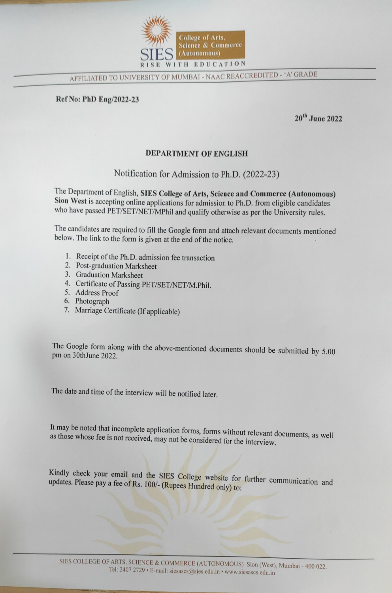

AFFILIATED TO UNIVERSITY OF MUMBAI - NAAC REACCREDITED 'A' GRADE

Ref No: PhD Eng/2022-23

20<sup>th</sup> June 2022

## DEPARTMENT OF ENGLISH

## Notification for Admission to Ph.D. (2022-23)

The Department of English, SIES College of Arts, Science and Commerce (Autonomous) Sion West is accepting online applications for admission to Ph.D. from eligible candidates who have passed PET/SET/NET/MPhil and qualify otherwise as per the University rules.

The candidates are required to fill the Google form and attach relevant documents mentioned below. The link to the form is given at the end of the notice.

- 1. Receipt of the Ph.D. admission fee transaction
- 2. Post-graduation Marksheet
- 3. Graduation Marksheet
- 4. Certificate of Passing PET/SET/NET/M.Phil.
- 5. Address Proof
- 6. Photograph
- 7. Marriage Certificate (If applicable)

The Google form along with the above-mentioned documents should be submitted by 5.00 pm on 30thJune 2022.

The date and time of the interview will be notified later.

It may be noted that incomplete application forms, forms without relevant documents, as well as those whose fee is not received, may not be considered for the interview.

Kindly check your email and the SIES College website for further communication and updates. Please pay a fee of Rs. 100/- (Rupees Hundred only) to: